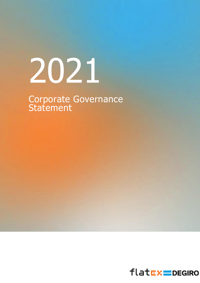# 2021

Corporate Governance **Statement** 

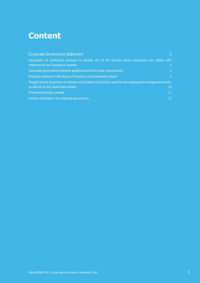# **Content**

| <b>Corporate Governance Statement</b>                                                                                                   | $\overline{3}$  |
|-----------------------------------------------------------------------------------------------------------------------------------------|-----------------|
| Declaration of Conformity pursuant to Section 161 of the German Stock Corporation Act (AktG) with<br>reference to the Company's website | 3.              |
| Corporate governance practices applied beyond the legal requirements                                                                    | 5.              |
| Working methods of the Board of Directors and Supervisory Board                                                                         | 6               |
| Targets for the proportion of women on the Board of Directors and the two subsequent management levels,                                 |                 |
| as well as on the Supervisory Board                                                                                                     | 10 <sup>°</sup> |
| Diversity/Diversity concept                                                                                                             | 11              |
| Further information on corporate governance                                                                                             | 12 <sup>°</sup> |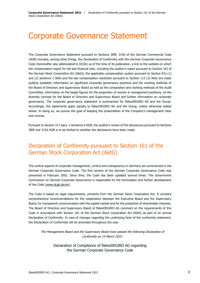# <span id="page-2-0"></span>Corporate Governance Statement

The Corporate Governance Statement pursuant to Sections 289f, 315d of the German Commercial Code (HGB) includes, among other things, the Declaration of Conformity with the German Corporate Governance Code (hereinafter also abbreviated to DCGK) as of the time of its publication, a link to the website on which the compensation report for the last financial year, including the auditor's report pursuant to Section 162 of the German Stock Corporation Act (AktG), the applicable compensation system pursuant to Section 87a (1) and (2) sentence 1 AktG and the last compensation resolution pursuant to Section 113 (3) AktG are made publicly available, information on significant corporate governance practices and the working methods of the Board of Directors and Supervisory Board as well as the composition and working methods of the Audit Committee, information on the target figures for the proportion of women in management positions, on the diversity concept for the Board of Directors and Supervisory Board and further information on corporate governance. The corporate governance statement is summarized for flatexDEGIRO AG and the Group. Accordingly, the statements apply equally to flatexDEGIRO AG and the Group, unless otherwise stated below. In doing so, we pursue the goal of keeping the presentation of the Company's management clear and concise.

Pursuant to Section 317 para. 2 sentence 6 HGB, the auditor's review of the disclosures pursuant to Sections 289f and 315d HGB is to be limited to whether the disclosures have been made.

## <span id="page-2-1"></span>Declaration of Conformity pursuant to Section 161 of the German Stock Corporation Act (AktG)

The central aspects of corporate management, control and transparency in Germany are summarized in the German Corporate Governance Code. The first version of the German Corporate Governance Code was presented in February 2002. Since then, the Code has been updated several times. The Government Commission on German Corporate Governance is responsible for the formulation and further development of the Code [\(www.dcgk.de/](http://(www.dcgk.de/)en).

The Code is based on legal requirements, primarily from the German Stock Corporation Act. It contains comprehensive recommendations for the cooperation between the Executive Board and the Supervisory Board, for transparent communication with the capital market and for the protection of shareholder interests. The Board of Directors and Supervisory Board of flatexDEGIRO AG comment on the requirements of this Code in accordance with Section 161 of the German Stock Corporation Act (AktG) as part of an annual Declaration of Conformity. In case of changes regarding the underlying facts of the conformity statement, the Declaration of Conformity will be amended throughout the year.

The Management Board and the Supervisory Board have passed the following Declaration of Conformity on 14 March 2022:

Declaration of Compliance of flatexDEGIRO AG regarding the German Corporate Governance Code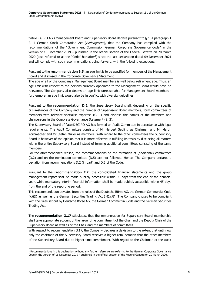flatexDEGIRO AG's Management Board and Supervisory Board declare pursuant to § 161 paragraph 1 S. 1 German Stock Corporation Act (Aktiengesetz), that the Company has complied with the recommendations of the "Government Commission German Corporate Governance Code" in the version of 16 December 2019 – published in the official section of the Federal Gazette on 20 March 2020 (also referred to as the "Code" hereafter<sup>1</sup>) since the last declaration dated 09 December 2021 and will comply with such recommendations going forward, with the following exceptions:

Pursuant to the **recommendation B.5**, an age limit is to be specified for members of the Management Board and disclosed in the Corporate Governance Statement.

The age of all of the Company's Management Board members is well below retirement age. Thus, an age limit with respect to the persons currently appointed to the Management Board would have no relevance. The Company also deems an age limit unreasonable for Management Board members furthermore, an age limit would also be in conflict with diversity guidelines.

Pursuant to the **recommendation D.2**, the Supervisory Board shall, depending on the specific circumstances of the Company and the number of Supervisory Board members, form committees of members with relevant specialist expertise (S. 1) and disclose the names of the members and chairpersons in the Corporate Governance Statement (S. 2).

The Supervisory Board of flatexDEGIRO AG has formed an Audit Committee in accordance with legal requirements. The Audit Committee consists of Mr Herbert Seuling as Chairman and Mr Martin Korbmacher and Mr Stefan Müller as members. With regard to the other committees the Supervisory Board is however of the opinion that it is more effective in fulfilling its tasks by discussing all matters within the entire Supervisory Board instead of forming additional committees consisting of the same members.

For the aforementioned reason, the recommendations on the formation of (additional) committees (D.2) and on the nomination committee (D.5) are not followed. Hence, The Company declares a deviation from recommendations D.2 (in part) and D.5 of the Code.

Pursuant to the **recommendation F.2**, the consolidated financial statements and the group management report shall be made publicly accessible within 90 days from the end of the financial year, while mandatory interim financial information shall be made publicly accessible within 45 days from the end of the reporting period.

This recommendation deviates from the rules of the Deutsche Börse AG, the German Commercial Code (HGB) as well as the German Securities Trading Act (WpHG). The Company choses to be compliant with the rules set out by Deutsche Börse AG, the German Commercial Code and the German Securities Trading Act.

The **recommendation G.17** stipulates, that the remuneration for Supervisory Board membership shall take appropriate account of the larger time commitment of the Chair and the Deputy Chair of the Supervisory Board as well as of the Chair and the members of committees.

With respect to recommendation G.17, the Company declares a deviation to the extent that until now only the chairman of the Supervisory Board receives a higher remuneration that the other members of the Supervisory Board due to higher time commitment. With regard to the Chairman of the Audit

 $1$  Recommendations in this declaration without any further reference are referring to the German Corporate Governance Code in the version of 16 December 2019 - published in the official section of the Federal Gazette on 20 March 2020.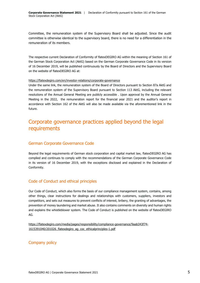Committee, the remuneration system of the Supervisory Board shall be adjusted. Since the audit committee is otherwise identical to the supervisory board, there is no need for a differentiation in the remuneration of its members.

The respective current Declaration of Conformity of flatexDEGIRO AG within the meaning of Section 161 of the German Stock Corporation Act (AktG) based on the German Corporate Governance Code in its version of 16 December 2019, will be published continuously by the Board of Directors and the Supervisory Board on the website of flatexDEGIRO AG at:

#### <https://flatexdegiro.com/en/investor-relations/corporate-governance>

Under the same link, the remuneration system of the Board of Directors pursuant to Section 87a AktG and the remuneration system of the Supervisory Board pursuant to Section 113 AktG, including the relevant resolutions of the Annual General Meeting are publicly accessible . Upon approval by the Annual General Meeting in the 2022, the remuneration report for the financial year 2021 and the auditor's report in accordance with Section 162 of the AktG will also be made available via the aforementioned link in the future.

### <span id="page-4-0"></span>Corporate governance practices applied beyond the legal requirements

#### German Corporate Governance Code

Beyond the legal requirements of German stock corporation and capital market law, flatexDEGIRO AG has complied and continues to comply with the recommendations of the German Corporate Governance Code in its version of 16 December 2019, with the exceptions disclosed and explained in the Declaration of Conformity.

#### Code of Conduct and ethical principles

Our Code of Conduct, which also forms the basis of our compliance management system, contains, among other things, clear instructions for dealings and relationships with customers, suppliers, investors and competitors, and sets out measures to prevent conflicts of interest, bribery, the granting of advantages, the prevention of money laundering and market abuse. It also contains comments on diversity and human rights and explains the whistleblower system. The Code of Conduct is published on the website of flatexDEGIRO AG.

[https://flatexdegiro.com/media/pages/responsibility/compliance-governance/9aab343f74-](https://flatexdegiro.com/media/pages/responsibility/compliance-governance/9aab343f74-1615391040/201026_flatexdegiro_ag_coc_ethicalprinciples-1.pdf) 1615391040/201026 flatexdegiro ag coc ethicalprinciples-1.pdf

#### Company policy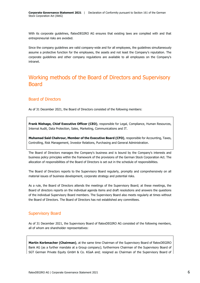With its corporate guidelines, flatexDEGIRO AG ensures that existing laws are complied with and that entrepreneurial risks are avoided.

Since the company guidelines are valid company-wide and for all employees, the guidelines simultaneously assume a protective function for the employees, the assets and not least the Company's reputation. The corporate guidelines and other company regulations are available to all employees on the Company's intranet.

## <span id="page-5-0"></span>Working methods of the Board of Directors and Supervisory Board

#### Board of Directors

As of 31 December 2021, the Board of Directors consisted of the following members:

**Frank Niehage, Chief Executive Officer (CEO)**, responsible for Legal, Compliance, Human Resources, Internal Audit, Data Protection, Sales, Marketing, Communications and IT.

**Muhamad Said Chahrour, Member of the Executive Board (CFO)**, responsible for Accounting, Taxes, Controlling, Risk Management, Investor Relations, Purchasing and General Administration.

The Board of Directors manages the Company's business and is bound by the Company's interests and business policy principles within the framework of the provisions of the German Stock Corporation Act. The allocation of responsibilities of the Board of Directors is set out in the schedule of responsibilities.

The Board of Directors reports to the Supervisory Board regularly, promptly and comprehensively on all material issues of business development, corporate strategy and potential risks.

As a rule, the Board of Directors attends the meetings of the Supervisory Board; at these meetings, the Board of directors reports on the individual agenda items and draft resolutions and answers the questions of the individual Supervisory Board members. The Supervisory Board also meets regularly at times without the Board of Directors. The Board of Directors has not established any committees.

#### Supervisory Board

As of 31 December 2021, the Supervisory Board of flatexDEGIRO AG consisted of the following members, all of whom are shareholder representatives:

**Martin Korbmacher (Chairman)**, at the same time Chairman of the Supervisory Board of flatexDEGIRO Bank AG (as a further mandate at a Group company); furthermore Chairman of the Supervisory Board of SGT German Private Equity GmbH & Co. KGaA and; resigned as Chairman of the Supervisory Board of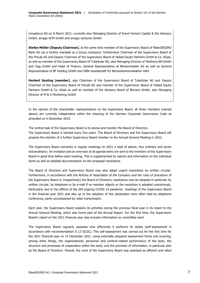innoplexus AG on 8 March 2021; currently also Managing Director of Event Horizon Capital & the Advisory GmbH, arsago ACM GmbH and arsago ventures GmbH.

**Stefan Müller (Deputy Chairman)**, at the same time member of the Supervisory Board of flatexDEGIRO Bank AG (as a further mandate at a Group company); furthermore Chairman of the Supervisory Board of the FinLab AG and Deputy Chairman of the Supervisory Board of Heliad Equity Partners GmbH & Co. KGaA, as well as member of the Supervisory Board of TubeSolar AG; also Managing Director of Panthera AM GmbH and Yigg GmbH and Head of Finance, General Representative at Börsenmedien AG as well as General Representative of BF Holding GmbH and GfBk Gesellschaft für Börsenkommunikation mbH.

**Herbert Seuling (member)**, also Chairman of the Supervisory Board of TubeSolar AG and Deputy Chairman of the Supervisory Board of FinLab AG and member of the Supervisory Board of Heliad Equity Partners GmbH & Co. KGaA as well as member of the Advisory Board of Bionero GmbH; also Managing Director of M & S Monitoring GmbH.

In the opinion of the shareholder representatives on the Supervisory Board, all three members (named above) are currently independent within the meaning of the German Corporate Governance Code as amended on 6 December 2019.

The central task of the Supervisory Board is to advise and monitor the Board of Directors. The Supervisory Board is elected every five years. The Board of Directors and the Supervisory Board will propose the election of a further Supervisory Board member to the Annual General Meeting in 2022.

The Supervisory Board convenes in regular meetings (in 2021 a total of eleven, four ordinary and seven extraordinary). An invitation and an overview of all agenda items are sent to the members of the Supervisory Board in good time before each meeting. This is supplemented by reports and information on the individual items as well as detailed documentation on the proposed resolutions.

The Board of Directors and Supervisory Board may also adopt urgent resolutions by written circular. Furthermore, in accordance with the Articles of Association of the Company and the rules of procedure of the Supervisory Board or (respectively) the Board of Directors, resolutions may be adopted in particular by written circular, by telephone or by e-mail if no member objects or the resolution is adopted unanimously. Particularly due to the effects of the still ongoing COVID 19 pandemic, meetings of the Supervisory Board in the financial year 2021 and also up to the adoption of this declaration were often held by telephone conference, partly accompanied by video transmission.

Each year, the Supervisory Board explains its activities during the previous fiscal year in its report to the Annual General Meeting, which also forms part of the Annual Report. For the first time, the Supervisory Board's report on the 2021 financial year also includes information on committee work.

The Supervisory Board regularly assesses how effectively it performs its duties (self-assessment in accordance with recommendation D.13 GCGC). This self-assessment was carried out for the first time for the 2021 financial year on 14 December 2021, using externally prepared assessment forms and covering, among other things, the organizational, personnel and content-related performance of the body, the structure and processes of cooperation within the body, and the provision of information, in particular also by the Board of Directors. Overall, the work of the Supervisory Board was assessed as efficient and rated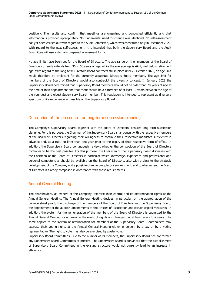positively. The results also confirm that meetings are organized and conducted efficiently and that information is provided appropriately. No fundamental need for change was identified. No self-assessment has yet been carried out with regard to the Audit Committee, which was constituted only in December 2021. With regard to the next self-assessment, it is intended that both the Supervisory Board and the Audit Committee will use externally prepared assessment forms.

No age limits have been set for the Board of Directors. The age range on the members of the Board of Directors currently extends from 36 to 53 years of age, while the average age is 44.5, well below retirement age. With regard to the long-term Directors Board contracts still in place until 25 October 2025, an age limit would therefore be irrelevant for the currently appointed Directors Board members. The age limit for members of the Board of Directors would also contradict the diversity concept. In January 2021 the Supervisory Board determined that Supervisory Board members should not be older than 70 years of age at the time of their appointment and that there should be a difference of at least 10 years between the age of the youngest and oldest Supervisory Board member. This regulation is intended to represent as diverse a spectrum of life experience as possible on the Supervisory Board.

#### Description of the procedure for long-term succession planning

The Company's Supervisory Board, together with the Board of Directors, ensures long-term succession planning. For this purpose, the Chairman of the Supervisory Board shall consult with the respective members of the Board of Directors regarding their willingness to continue their respective mandates sufficiently in advance and, as a rule, no later than one year prior to the expiry of their respective term of office. In addition, the Supervisory Board continuously reviews whether the composition of the Board of Directors continues to be the best possible. For this purpose, the Chairman of the Supervisory Board discusses with the Chairman of the Board of Directors in particular which knowledge, experience and professional and personal competencies should be available on the Board of Directors, also with a view to the strategic development of the Company and a possible changing regulatory environment, and to what extent the Board of Directors is already composed in accordance with these requirements.

#### Annual General Meeting

The shareholders, as owners of the Company, exercise their control and co-determination rights at the Annual General Meeting. The Annual General Meeting decides, in particular, on the appropriation of the balance sheet profit, the discharge of the members of the Board of Directors and the Supervisory Board, the appointment of the auditor, amendments to the Articles of Association and certain capital measures. In addition, the system for the remuneration of the members of the Board of Directors is submitted to the Annual General Meeting for approval in the event of significant changes, but at least every four years. The same applies to the system of remuneration for members of the Supervisory Board. Shareholders may exercise their voting rights at the Annual General Meeting either in person, by proxy or by a voting representative. The right to vote may also be exercised by postal vote.

Supervisory Board Committees. Due to the number of its members, the Supervisory Board has not formed any Supervisory Board Committees at present. The Supervisory Board is convinced that the establishment of Supervisory Board Committees in the existing structure would not currently lead to an increase in efficiency.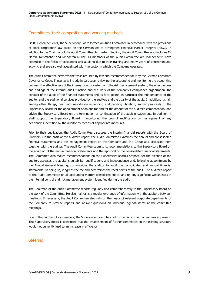#### Committees, their composition and working methods

On 09 December 2021, the Supervisory Board formed an Audit Committee in accordance with the provisions of stock corporation law based on the German Act to Strengthen Financial Market Integrity (FISG). In addition to the Chairman of the Audit Committee, Mr Herbert Seuling, the Audit Committee also includes Mr Martin Korbmacher and Mr Stefan Müller. All members of the Audit Committee are independent, have expertise in the fields of accounting and auditing due to their training and many years of entrepreneurial activity, and are also well acquainted with the sector in which the Company operates.

The Audit Committee performs the tasks required by law and recommended for it by the German Corporate Governance Code. These tasks include in particular reviewing the accounting and monitoring the accounting process, the effectiveness of the internal control system and the risk management system, the effectiveness and findings of the internal audit function and the work of the company's compliance organization, the conduct of the audit of the financial statements and its focal points, in particular the independence of the auditor and the additional services provided by the auditor, and the quality of the audit. In addition, it shall, among other things, deal with reports on impending and pending litigation, submit proposals to the Supervisory Board for the appointment of an auditor and for the amount of the auditor's compensation, and advise the Supervisory Board on the termination or continuation of the audit engagement. In addition, it shall support the Supervisory Board in monitoring the prompt rectification by management of any deficiencies identified by the auditor by means of appropriate measures.

Prior to their publication, the Audit Committee discusses the interim financial reports with the Board of Directors. On the basis of the auditor's report, the Audit Committee examines the annual and consolidated financial statements and the management report on the Company and the Group and discusses them together with the auditor. The Audit Committee submits its recommendations to the Supervisory Board on the adoption of the annual financial statements and the approval of the consolidated financial statements. The Committee also makes recommendations on the Supervisory Board's proposal for the election of the auditor, assesses the auditor's suitability, qualifications and independence and, following appointment by the Annual General Meeting, commissions the auditor to audit the consolidated and annual financial statements. In doing so, it agrees the fee and determines the focal points of the audit. The auditor's report to the Audit Committee on all accounting matters considered critical and on any significant weaknesses in the internal control and risk management system identified during the audit.

The Chairman of the Audit Committee reports regularly and comprehensively to the Supervisory Board on the work of the Committee. He also maintains a regular exchange of information with the auditors between meetings. If necessary, the Audit Committee also calls on the heads of relevant corporate departments of the Company to provide reports and answer questions on individual agenda items at the committee meetings.

Due to the number of its members, the Supervisory Board has not formed any other committees at present. The Supervisory Board is convinced that the establishment of further committees in the existing structure would not currently lead to an increase in efficiency.

#### **Steering**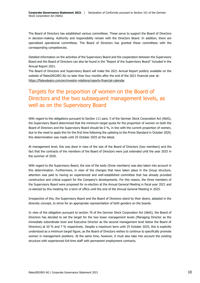The Board of Directors has established various committees. These serve to support the Board of Directors in decision-making. Authority and responsibility remain with the Directors Board. In addition, there are specialized operational committees. The Board of Directors has granted these committees with the corresponding competencies.

Detailed information on the activities of the Supervisory Board and the cooperation between the Supervisory Board and the Board of Directors can also be found in the "Report of the Supervisory Board" included in the Annual Report 2021.

The Board of Directors and Supervisory Board will make the 2021 Annual Report publicly available on the website of flatexDEGIRO AG no later than four months after the end of the 2021 financial year at: <https://flatexdegiro.com/en/investor-relations/reports-financial-calendar>

# <span id="page-9-0"></span>Targets for the proportion of women on the Board of Directors and the two subsequent management levels, as well as on the Supervisory Board

With regard to the obligations pursuant to Section 111 para. 5 of the German Stock Corporation Act (AktG), the Supervisory Board determined that the minimum target quota for the proportion of women on both the Board of Directors and the Supervisory Board should be 0 %, in line with the current proportion of women, due to the need to apply this for the first time following the uplisting to the Prime Standard in October 2020; this determination was made until 25 October 2025 at the latest.

At management level, this was done in view of the size of the Board of Directors (two members) and the fact that the contracts of the members of the Board of Directors were just extended until the year 2025 in the summer of 2020.

With regard to the Supervisory Board, the size of the body (three members) was also taken into account in this determination. Furthermore, in view of the changes that have taken place in the Group structure, attention was paid to having an experienced and well-established committee that has already provided constructive and critical support for the Company's developments. For this reason, the three members of the Supervisory Board were proposed for re-election at the Annual General Meeting in fiscal year 2021 and re-elected by this meeting for a term of office until the end of the Annual General Meeting in 2025.

Irrespective of this, the Supervisory Board and the Board of Directors stand by their desire, adopted in the diversity concept, to strive for an appropriate representation of both genders on the boards.

In view of the obligation pursuant to section 76 of the German Stock Corporation Act (AktG), the Board of Directors has decided to set the target for the two lower management levels (Managing Director as the immediate subordinate level and Executive Director as the second management level below the Board of Directors) at 20 % and 7 % respectively. Despite a maximum term until 25 October 2025, this is explicitly understood as a minimum target figure, as the Board of Directors wishes to continue to specifically promote women in management positions. At the same time, however, it must also take into account the existing structure with experienced full-time staff with permanent employment contracts.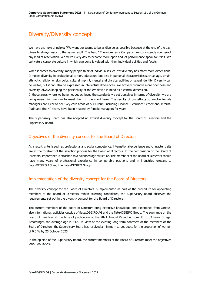# <span id="page-10-0"></span>Diversity/Diversity concept

We have a simple principle: "We want our teams to be as diverse as possible because at the end of the day, diversity always leads to the same result. The best." Therefore, as a Company, we consistently counteract any kind of reservation. We strive every day to become more open and let performance speak for itself. We cultivate a corporate culture in which everyone is valued with their individual abilities and facets.

When it comes to diversity, many people think of individual issues. Yet diversity has many more dimensions: It means diversity in professional career, education, but also in personal characteristics such as age, origin, ethnicity, religion or skin color, cultural imprint, mental and physical abilities or sexual identity. Diversity can be visible, but it can also be expressed in intellectual differences. We actively promote more openness and diversity, always keeping the personality of the employee in mind as a central dimension.

In those areas where we have not yet achieved the standards we set ourselves in terms of diversity, we are doing everything we can to meet them in the short term. The results of our efforts to involve female managers are clear to see: key core areas of our Group, including Finance, Securities Settlement, Internal Audit and the HR team, have been headed by female managers for years.

The Supervisory Board has also adopted an explicit diversity concept for the Board of Directors and the Supervisory Board.

#### Objectives of the diversity concept for the Board of Directors

As a result, criteria such as professional and social competence, international experience and character traits are at the forefront of the selection process for the Board of Directors. In the composition of the Board of Directors, importance is attached to a balanced age structure. The members of the Board of Directors should have many years of professional experience in comparable positions and in industries relevant to flatexDEGIRO AG and the flatexDEGIRO Group.

#### Implementation of the diversity concept for the Board of Directors

The diversity concept for the Board of Directors is implemented as part of the procedure for appointing members to the Board of Directors. When selecting candidates, the Supervisory Board observes the requirements set out in the diversity concept for the Board of Directors.

The current members of the Board of Directors bring extensive knowledge and experience from various, also international, activities outside of flatexDEGIRO AG and the flatexDEGIRO Group. The age range on the Board of Directors at the time of publication of the 2021 Annual Report is from 36 to 53 years of age. Accordingly, the average age is 44.5. In view of the existing long-term contracts of the members of the Board of Directors, the Supervisory Board has resolved a minimum target quota for the proportion of women of 0.0 % by 25 October 2025.

In the opinion of the Supervisory Board, the current members of the Board of Directors meet the objectives described above.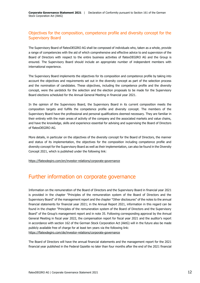#### Objectives for the composition, competence profile and diversity concept for the Supervisory Board

The Supervisory Board of flatexDEGIRO AG shall be composed of individuals who, taken as a whole, provide a range of competencies with the aid of which comprehensive and effective advice to and supervision of the Board of Directors with respect to the entire business activities of flatexDEGIRO AG and the Group is ensured. The Supervisory Board should include an appropriate number of independent members with international experience.

The Supervisory Board implements the objectives for its composition and competence profile by taking into account the objectives and requirements set out in the diversity concept as part of the selection process and the nomination of candidates. These objectives, including the competence profile and the diversity concept, were the yardstick for the selection and the election proposals to be made for the Supervisory Board elections scheduled for the Annual General Meeting in financial year 2021.

In the opinion of the Supervisory Board, the Supervisory Board in its current composition meets the composition targets and fulfills the competence profile and diversity concept. The members of the Supervisory Board have the professional and personal qualifications deemed necessary. They are familiar in their entirety with the main areas of activity of the company and the associated markets and value chains, and have the knowledge, skills and experience essential for advising and supervising the Board of Directors of flatexDEGIRO AG.

More details, in particular on the objectives of the diversity concept for the Board of Directors, the manner and status of its implementation, the objectives for the composition including competence profile and diversity concept for the Supervisory Board as well as their implementation, can also be found in the Diversity Concept 2021, which is published under the following link:

<https://flatexdegiro.com/en/investor-relations/corporate-governance>

# <span id="page-11-0"></span>Further information on corporate governance

Information on the remuneration of the Board of Directors and the Supervisory Board in financial year 2021 is provided in the chapter "Principles of the remuneration system of the Board of Directors and the Supervisory Board" of the management report and the chapter "Other disclosures" of the notes to the annual financial statements for financial year 2021; in the Annual Report 2021, information in this regard can be found in the chapter "Principles of the remuneration system of the Board of Directors and the Supervisory Board" of the Group's management report and in note 35. Following corresponding approval by the Annual General Meeting in fiscal year 2022, the compensation report for fiscal year 2021 and the auditor's report in accordance with section 162 of the German Stock Corporation Act (AktG) will in the future also be made publicly available free of charge for at least ten years via the following link: <https://flatexdegiro.com/de/investor-relations/corporate-governance>

The Board of Directors will have the annual financial statements and the management report for the 2021 financial year published in the Federal Gazette no later than four months after the end of the 2021 financial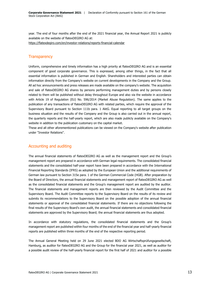year. The end of four months after the end of the 2021 financial year, the Annual Report 2021 is publicly available on the website of flatexDEGIRO AG at:

<https://flatexdegiro.com/en/investor-relations/reports-financial-calendar>

#### **Transparency**

Uniform, comprehensive and timely information has a high priority at flatexDEGIRO AG and is an essential component of good corporate governance. This is expressed, among other things, in the fact that all essential information is published in German and English. Shareholders and interested parties can obtain information directly from the Company's website on current developments in the Company and the Group. All ad hoc announcements and press releases are made available on the company's website. The acquisition and sale of flatexDEGIRO AG shares by persons performing management duties and by persons closely related to them will be published without delay throughout Europe and also via the website in accordance with Article 19 of Regulation (EU) No. 596/2014 (Market Abuse Regulation). The same applies to the publication of any transactions of flatexDEGIRO AG with related parties, which require the approval of the Supervisory Board pursuant to Section 111b para. 1 AktG. Equal reporting to all target groups on the business situation and the results of the Company and the Group is also carried out in the annual report, the quarterly reports and the half-yearly report, which are also made publicly available on the Company's website in addition to the publication customary on the capital market.

These and all other aforementioned publications can be viewed on the Company's website after publication under "Investor Relations".

#### Accounting and auditing

The annual financial statements of flatexDEGIRO AG as well as the management report and the Group's management report are prepared in accordance with German legal requirements. The consolidated financial statements and the consolidated half-year report have been prepared in accordance with the International Financial Reporting Standards (IFRS) as adopted by the European Union and the additional requirements of German law pursuant to Section 315e para. 1 of the German Commercial Code (HGB). After preparation by the Board of Directors, the annual financial statements and management report of flatexDEGIRO AG as well as the consolidated financial statements and the Group's management report are audited by the auditor. The financial statements and management reports are then reviewed by the Audit Committee and the Supervisory Board. The Audit Committee reports to the Supervisory Board on the results of its review and submits its recommendations to the Supervisory Board on the possible adoption of the annual financial statements or approval of the consolidated financial statements. If there are no objections following the final results of the Supervisory Board's own audit, the annual financial statements and consolidated financial statements are approved by the Supervisory Board; the annual financial statements are thus adopted.

In accordance with statutory regulations, the consolidated financial statements and the Group's management report are published within four months of the end of the financial year and half-yearly financial reports are published within three months of the end of the respective reporting period.

The Annual General Meeting held on 29 June 2021 elected BDO AG Wirtschaftsprüfungsgesellschaft, Hamburg, as auditor for flatexDEGIRO AG and the Group for the financial year 2021, as well as auditor for a possible audit review of the half-yearly financial report for the first half of 2021 and auditor for a possible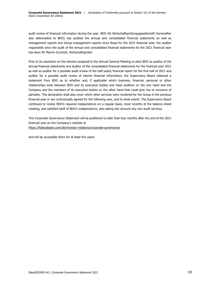audit review of financial information during the year. BDO AG Wirtschaftsprüfungsgesellschaft (hereinafter also abbreviated to BDO) has audited the annual and consolidated financial statements as well as management reports and Group management reports since those for the 2015 financial year; the auditor responsible since the audit of the annual and consolidated financial statements for the 2021 financial year has been Mr Marvin Gruchott, Wirtschaftsprüfer.

Prior to its resolution on the election proposal to the Annual General Meeting to elect BDO as auditor of the annual financial statements and auditor of the consolidated financial statements for the financial year 2021 as well as auditor for a possible audit review of the half-yearly financial report for the first half of 2021 and auditor for a possible audit review of interim financial information, the Supervisory Board obtained a statement from BDO as to whether and, if applicable which business, financial, personal or other relationships exist between BDO and its executive bodies and head auditors on the one hand and the Company and the members of its executive bodies on the other hand that could give rise to concerns of partiality. The declaration shall also cover which other services were rendered for the Group in the previous financial year or are contractually agreed for the following year, and to what extent. The Supervisory Board continued to review BDO's required independence on a regular basis, most recently at the balance sheet meeting, and satisfied itself of BDO's independence, also taking into account any non-audit services.

This Corporate Governance Statement will be published no later than four months after the end of the 2021 financial year on the Company's website at <https://flatexdegiro.com/de/investor-relations/corporate-governance>

and will be accessible there for at least five years.